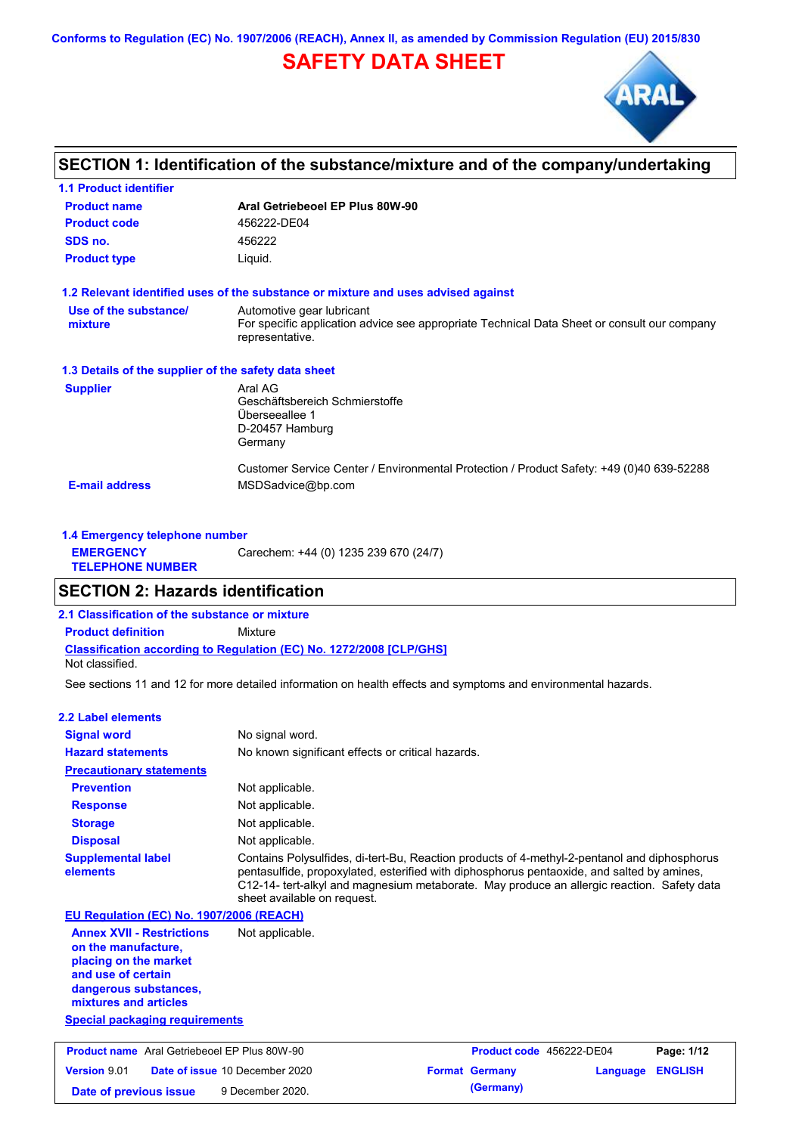**Conforms to Regulation (EC) No. 1907/2006 (REACH), Annex II, as amended by Commission Regulation (EU) 2015/830**

# **SAFETY DATA SHEET**



# **SECTION 1: Identification of the substance/mixture and of the company/undertaking**

| <b>1.1 Product identifier</b>                        |                                                                                                                                             |
|------------------------------------------------------|---------------------------------------------------------------------------------------------------------------------------------------------|
| <b>Product name</b>                                  | Aral Getriebeoel EP Plus 80W-90                                                                                                             |
| <b>Product code</b>                                  | 456222-DE04                                                                                                                                 |
| SDS no.                                              | 456222                                                                                                                                      |
| <b>Product type</b>                                  | Liquid.                                                                                                                                     |
|                                                      | 1.2 Relevant identified uses of the substance or mixture and uses advised against                                                           |
| Use of the substance/<br>mixture                     | Automotive gear lubricant<br>For specific application advice see appropriate Technical Data Sheet or consult our company<br>representative. |
| 1.3 Details of the supplier of the safety data sheet |                                                                                                                                             |
| <b>Supplier</b>                                      | Aral AG<br>Geschäftsbereich Schmierstoffe<br>Überseeallee 1<br>D-20457 Hamburg<br>Germany                                                   |
| <b>E-mail address</b>                                | Customer Service Center / Environmental Protection / Product Safety: +49 (0)40 639-52288<br>MSDSadvice@bp.com                               |

| 1.4 Emergency telephone number              |                                       |
|---------------------------------------------|---------------------------------------|
| <b>EMERGENCY</b><br><b>TELEPHONE NUMBER</b> | Carechem: +44 (0) 1235 239 670 (24/7) |

## **SECTION 2: Hazards identification**

**2.1 Classification of the substance or mixture**

**Classification according to Regulation (EC) No. 1272/2008 [CLP/GHS] Product definition** Mixture

Not classified.

See sections 11 and 12 for more detailed information on health effects and symptoms and environmental hazards.

### **2.2 Label elements**

| <b>Signal word</b>                                                                                                                                       | No signal word.                                                                                                                                                                                                                                                                                                         |
|----------------------------------------------------------------------------------------------------------------------------------------------------------|-------------------------------------------------------------------------------------------------------------------------------------------------------------------------------------------------------------------------------------------------------------------------------------------------------------------------|
| <b>Hazard statements</b>                                                                                                                                 | No known significant effects or critical hazards.                                                                                                                                                                                                                                                                       |
| <b>Precautionary statements</b>                                                                                                                          |                                                                                                                                                                                                                                                                                                                         |
| <b>Prevention</b>                                                                                                                                        | Not applicable.                                                                                                                                                                                                                                                                                                         |
| <b>Response</b>                                                                                                                                          | Not applicable.                                                                                                                                                                                                                                                                                                         |
| <b>Storage</b>                                                                                                                                           | Not applicable.                                                                                                                                                                                                                                                                                                         |
| <b>Disposal</b>                                                                                                                                          | Not applicable.                                                                                                                                                                                                                                                                                                         |
| <b>Supplemental label</b><br>elements                                                                                                                    | Contains Polysulfides, di-tert-Bu, Reaction products of 4-methyl-2-pentanol and diphosphorus<br>pentasulfide, propoxylated, esterified with diphosphorus pentaoxide, and salted by amines,<br>C12-14- tert-alkyl and magnesium metaborate. May produce an allergic reaction. Safety data<br>sheet available on request. |
| EU Regulation (EC) No. 1907/2006 (REACH)                                                                                                                 |                                                                                                                                                                                                                                                                                                                         |
| <b>Annex XVII - Restrictions</b><br>on the manufacture.<br>placing on the market<br>and use of certain<br>dangerous substances,<br>mixtures and articles | Not applicable.                                                                                                                                                                                                                                                                                                         |

**Special packaging requirements**

| <b>Product name</b> Aral Getriebeoel EP Plus 80W-90 |  | <b>Product code</b> 456222-DE04       |  | Page: 1/12            |                         |  |
|-----------------------------------------------------|--|---------------------------------------|--|-----------------------|-------------------------|--|
| <b>Version 9.01</b>                                 |  | <b>Date of issue 10 December 2020</b> |  | <b>Format Germany</b> | <b>Language ENGLISH</b> |  |
| Date of previous issue                              |  | 9 December 2020.                      |  | (Germany)             |                         |  |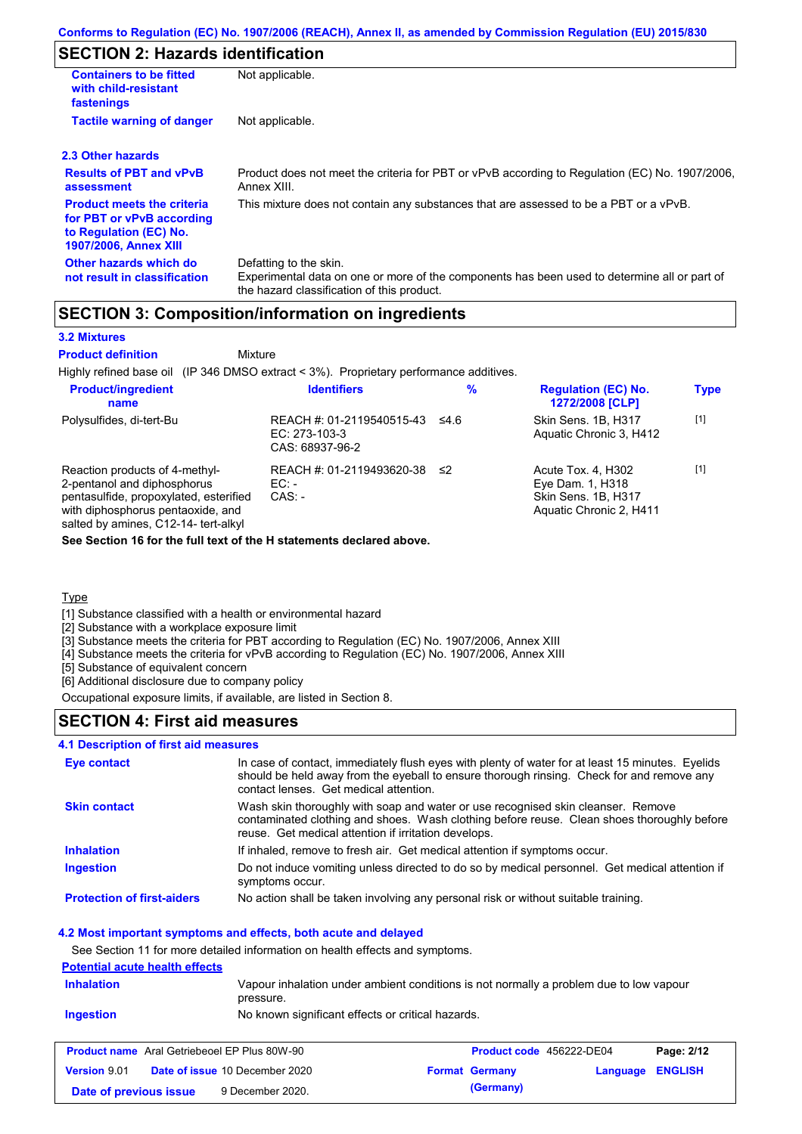# **SECTION 2: Hazards identification**

| <b>Containers to be fitted</b><br>with child-resistant<br>fastenings                                                     | Not applicable.                                                                                                                                                      |
|--------------------------------------------------------------------------------------------------------------------------|----------------------------------------------------------------------------------------------------------------------------------------------------------------------|
| <b>Tactile warning of danger</b>                                                                                         | Not applicable.                                                                                                                                                      |
| 2.3 Other hazards                                                                                                        |                                                                                                                                                                      |
| <b>Results of PBT and vPvB</b><br>assessment                                                                             | Product does not meet the criteria for PBT or vPvB according to Regulation (EC) No. 1907/2006,<br>Annex XIII.                                                        |
| <b>Product meets the criteria</b><br>for PBT or vPvB according<br>to Regulation (EC) No.<br><b>1907/2006, Annex XIII</b> | This mixture does not contain any substances that are assessed to be a PBT or a vPvB.                                                                                |
| Other hazards which do<br>not result in classification                                                                   | Defatting to the skin.<br>Experimental data on one or more of the components has been used to determine all or part of<br>the hazard classification of this product. |

## **SECTION 3: Composition/information on ingredients**

#### **3.2 Mixtures**

Mixture **Product definition**

Highly refined base oil (IP 346 DMSO extract < 3%). Proprietary performance additives.

| <b>Product/ingredient</b><br>name                                                                                                                                                    | <b>Identifiers</b>                                            | %      | <b>Regulation (EC) No.</b><br><b>1272/2008 [CLP]</b>                                     | <b>Type</b> |
|--------------------------------------------------------------------------------------------------------------------------------------------------------------------------------------|---------------------------------------------------------------|--------|------------------------------------------------------------------------------------------|-------------|
| Polysulfides, di-tert-Bu                                                                                                                                                             | REACH #: 01-2119540515-43<br>EC: 273-103-3<br>CAS: 68937-96-2 | ≤4.6   | Skin Sens, 1B, H317<br>Aquatic Chronic 3, H412                                           | $[1]$       |
| Reaction products of 4-methyl-<br>2-pentanol and diphosphorus<br>pentasulfide, propoxylated, esterified<br>with diphosphorus pentaoxide, and<br>salted by amines, C12-14- tert-alkyl | REACH #: 01-2119493620-38<br>EC:<br>$CAS: -$                  | $\leq$ | Acute Tox. 4, H302<br>Eye Dam. 1, H318<br>Skin Sens. 1B, H317<br>Aquatic Chronic 2, H411 | $[1]$       |

**See Section 16 for the full text of the H statements declared above.**

## **Type**

[1] Substance classified with a health or environmental hazard

[2] Substance with a workplace exposure limit

[3] Substance meets the criteria for PBT according to Regulation (EC) No. 1907/2006, Annex XIII

[4] Substance meets the criteria for vPvB according to Regulation (EC) No. 1907/2006, Annex XIII

[5] Substance of equivalent concern

[6] Additional disclosure due to company policy

Occupational exposure limits, if available, are listed in Section 8.

## **SECTION 4: First aid measures**

# **4.1 Description of first aid measures**

| <b>Eye contact</b>                | In case of contact, immediately flush eyes with plenty of water for at least 15 minutes. Eyelids<br>should be held away from the eyeball to ensure thorough rinsing. Check for and remove any<br>contact lenses. Get medical attention. |
|-----------------------------------|-----------------------------------------------------------------------------------------------------------------------------------------------------------------------------------------------------------------------------------------|
| <b>Skin contact</b>               | Wash skin thoroughly with soap and water or use recognised skin cleanser. Remove<br>contaminated clothing and shoes. Wash clothing before reuse. Clean shoes thoroughly before<br>reuse. Get medical attention if irritation develops.  |
| <b>Inhalation</b>                 | If inhaled, remove to fresh air. Get medical attention if symptoms occur.                                                                                                                                                               |
| <b>Ingestion</b>                  | Do not induce vomiting unless directed to do so by medical personnel. Get medical attention if<br>symptoms occur.                                                                                                                       |
| <b>Protection of first-aiders</b> | No action shall be taken involving any personal risk or without suitable training.                                                                                                                                                      |

#### **4.2 Most important symptoms and effects, both acute and delayed**

See Section 11 for more detailed information on health effects and symptoms.

## **Potential acute health effects**

| Vapour inhalation under ambient conditions is not normally a problem due to low vapour<br><b>Inhalation</b><br>pressure. |                                                   |  |                                 |            |
|--------------------------------------------------------------------------------------------------------------------------|---------------------------------------------------|--|---------------------------------|------------|
| Ingestion                                                                                                                | No known significant effects or critical hazards. |  |                                 |            |
|                                                                                                                          |                                                   |  |                                 |            |
| <b>Product name</b> Aral Getriebeoel EP Plus 80W-90                                                                      |                                                   |  | <b>Product code</b> 456222-DE04 | Page: 2/12 |

|                        | <b>Product name</b> Aral Getriebeoel EP Plus 80W-90 | <b>Product code</b> 456222-DE04 |                  | Page: 2/12 |
|------------------------|-----------------------------------------------------|---------------------------------|------------------|------------|
| <b>Version</b> 9.01    | <b>Date of issue 10 December 2020</b>               | <b>Format Germany</b>           | Language ENGLISH |            |
| Date of previous issue | 9 December 2020.                                    | (Germany)                       |                  |            |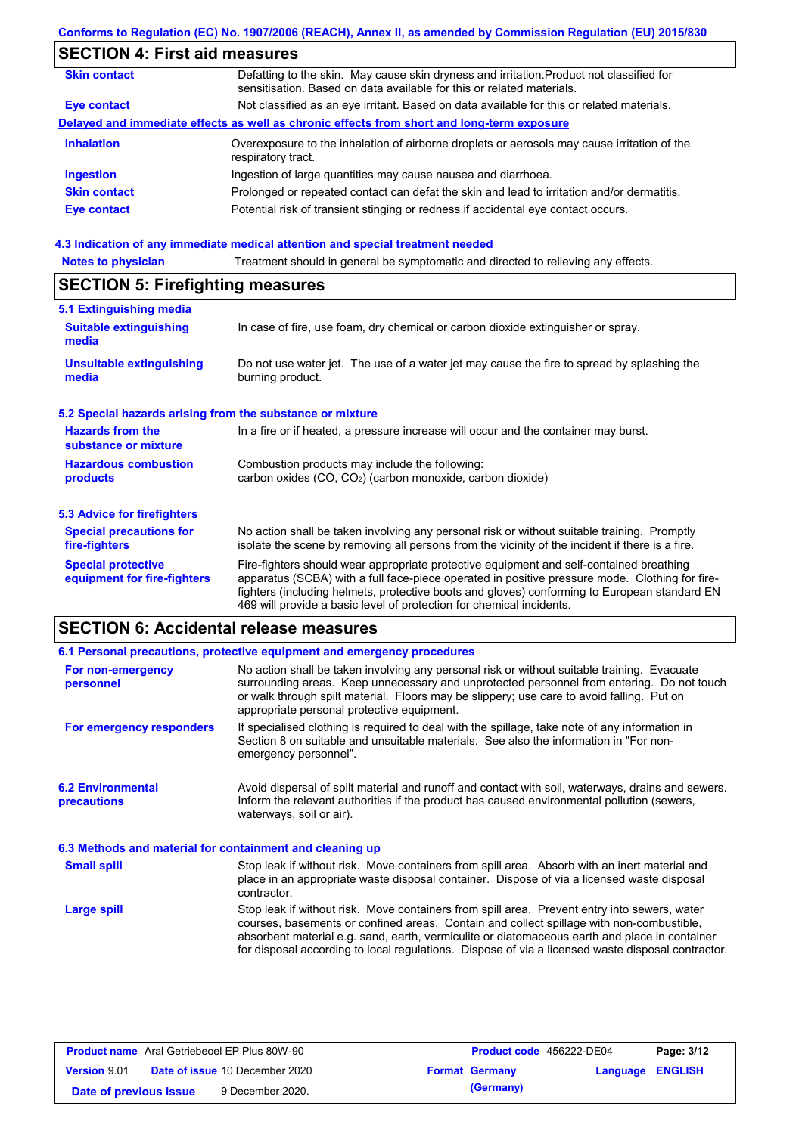# **SECTION 4: First aid measures**

| <b>Skin contact</b> | Defatting to the skin. May cause skin dryness and irritation. Product not classified for<br>sensitisation. Based on data available for this or related materials. |
|---------------------|-------------------------------------------------------------------------------------------------------------------------------------------------------------------|
| Eye contact         | Not classified as an eye irritant. Based on data available for this or related materials.                                                                         |
|                     | Delayed and immediate effects as well as chronic effects from short and long-term exposure                                                                        |
| <b>Inhalation</b>   | Overexposure to the inhalation of airborne droplets or aerosols may cause irritation of the<br>respiratory tract.                                                 |
| <b>Ingestion</b>    | Ingestion of large quantities may cause nausea and diarrhoea.                                                                                                     |
| <b>Skin contact</b> | Prolonged or repeated contact can defat the skin and lead to irritation and/or dermatitis.                                                                        |
| Eye contact         | Potential risk of transient stinging or redness if accidental eye contact occurs.                                                                                 |
|                     |                                                                                                                                                                   |

### **4.3 Indication of any immediate medical attention and special treatment needed**

| <b>Notes to physician</b>                                 | Treatment should in general be symptomatic and directed to relieving any effects.                                                                                                                                                                                                                                                                                 |  |  |  |  |
|-----------------------------------------------------------|-------------------------------------------------------------------------------------------------------------------------------------------------------------------------------------------------------------------------------------------------------------------------------------------------------------------------------------------------------------------|--|--|--|--|
| <b>SECTION 5: Firefighting measures</b>                   |                                                                                                                                                                                                                                                                                                                                                                   |  |  |  |  |
| 5.1 Extinguishing media                                   |                                                                                                                                                                                                                                                                                                                                                                   |  |  |  |  |
| <b>Suitable extinguishing</b><br>media                    | In case of fire, use foam, dry chemical or carbon dioxide extinguisher or spray.                                                                                                                                                                                                                                                                                  |  |  |  |  |
| <b>Unsuitable extinguishing</b><br>media                  | Do not use water jet. The use of a water jet may cause the fire to spread by splashing the<br>burning product.                                                                                                                                                                                                                                                    |  |  |  |  |
| 5.2 Special hazards arising from the substance or mixture |                                                                                                                                                                                                                                                                                                                                                                   |  |  |  |  |
| <b>Hazards from the</b><br>substance or mixture           | In a fire or if heated, a pressure increase will occur and the container may burst.                                                                                                                                                                                                                                                                               |  |  |  |  |
| <b>Hazardous combustion</b><br>products                   | Combustion products may include the following:<br>carbon oxides $(CO, CO2)$ (carbon monoxide, carbon dioxide)                                                                                                                                                                                                                                                     |  |  |  |  |
| 5.3 Advice for firefighters                               |                                                                                                                                                                                                                                                                                                                                                                   |  |  |  |  |
| <b>Special precautions for</b><br>fire-fighters           | No action shall be taken involving any personal risk or without suitable training. Promptly<br>isolate the scene by removing all persons from the vicinity of the incident if there is a fire.                                                                                                                                                                    |  |  |  |  |
| <b>Special protective</b><br>equipment for fire-fighters  | Fire-fighters should wear appropriate protective equipment and self-contained breathing<br>apparatus (SCBA) with a full face-piece operated in positive pressure mode. Clothing for fire-<br>fighters (including helmets, protective boots and gloves) conforming to European standard EN<br>469 will provide a basic level of protection for chemical incidents. |  |  |  |  |

# **SECTION 6: Accidental release measures**

|                                                          | 6.1 Personal precautions, protective equipment and emergency procedures                                                                                                                                                                                                                                                                                                                        |  |  |  |
|----------------------------------------------------------|------------------------------------------------------------------------------------------------------------------------------------------------------------------------------------------------------------------------------------------------------------------------------------------------------------------------------------------------------------------------------------------------|--|--|--|
| For non-emergency<br>personnel                           | No action shall be taken involving any personal risk or without suitable training. Evacuate<br>surrounding areas. Keep unnecessary and unprotected personnel from entering. Do not touch<br>or walk through spilt material. Floors may be slippery; use care to avoid falling. Put on<br>appropriate personal protective equipment.                                                            |  |  |  |
| For emergency responders                                 | If specialised clothing is required to deal with the spillage, take note of any information in<br>Section 8 on suitable and unsuitable materials. See also the information in "For non-<br>emergency personnel".                                                                                                                                                                               |  |  |  |
| <b>6.2 Environmental</b><br>precautions                  | Avoid dispersal of spilt material and runoff and contact with soil, waterways, drains and sewers.<br>Inform the relevant authorities if the product has caused environmental pollution (sewers,<br>waterways, soil or air).                                                                                                                                                                    |  |  |  |
| 6.3 Methods and material for containment and cleaning up |                                                                                                                                                                                                                                                                                                                                                                                                |  |  |  |
| <b>Small spill</b>                                       | Stop leak if without risk. Move containers from spill area. Absorb with an inert material and<br>place in an appropriate waste disposal container. Dispose of via a licensed waste disposal<br>contractor.                                                                                                                                                                                     |  |  |  |
| Large spill                                              | Stop leak if without risk. Move containers from spill area. Prevent entry into sewers, water<br>courses, basements or confined areas. Contain and collect spillage with non-combustible,<br>absorbent material e.g. sand, earth, vermiculite or diatomaceous earth and place in container<br>for disposal according to local regulations. Dispose of via a licensed waste disposal contractor. |  |  |  |

| <b>Product name</b> Aral Getriebeoel EP Plus 80W-90 |  |                                       | <b>Product code</b> 456222-DE04 | Page: 3/12            |                  |  |
|-----------------------------------------------------|--|---------------------------------------|---------------------------------|-----------------------|------------------|--|
| <b>Version 9.01</b>                                 |  | <b>Date of issue 10 December 2020</b> |                                 | <b>Format Germany</b> | Language ENGLISH |  |
| Date of previous issue                              |  | 9 December 2020.                      |                                 | (Germany)             |                  |  |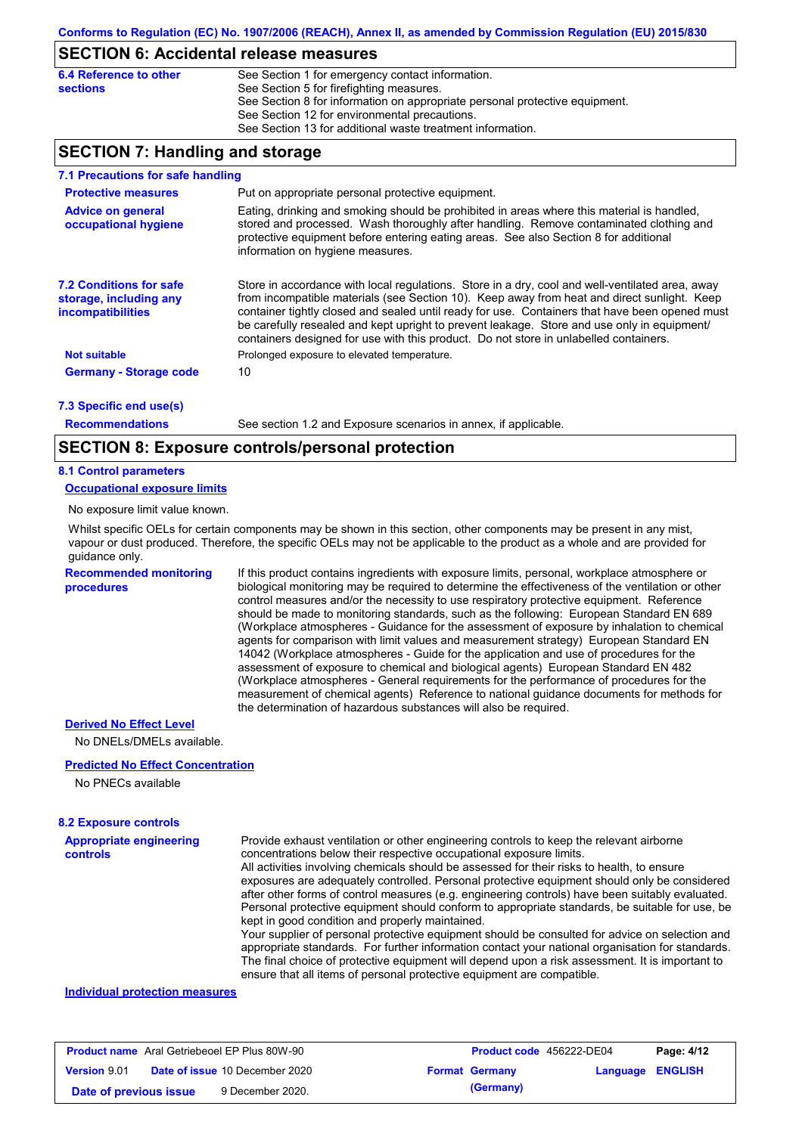## **SECTION 6: Accidental release measures**

| 6.4 Reference to other | See Section 1 for emergency contact information.                            |
|------------------------|-----------------------------------------------------------------------------|
| <b>sections</b>        | See Section 5 for firefighting measures.                                    |
|                        | See Section 8 for information on appropriate personal protective equipment. |
|                        | See Section 12 for environmental precautions.                               |
|                        | See Section 13 for additional waste treatment information.                  |

## **SECTION 7: Handling and storage**

| 7.1 Precautions for safe handling                                                    |                                                                                                                                                                                                                                                                                                                                                                                                                                                                                          |
|--------------------------------------------------------------------------------------|------------------------------------------------------------------------------------------------------------------------------------------------------------------------------------------------------------------------------------------------------------------------------------------------------------------------------------------------------------------------------------------------------------------------------------------------------------------------------------------|
| <b>Protective measures</b>                                                           | Put on appropriate personal protective equipment.                                                                                                                                                                                                                                                                                                                                                                                                                                        |
| <b>Advice on general</b><br>occupational hygiene                                     | Eating, drinking and smoking should be prohibited in areas where this material is handled.<br>stored and processed. Wash thoroughly after handling. Remove contaminated clothing and<br>protective equipment before entering eating areas. See also Section 8 for additional<br>information on hygiene measures.                                                                                                                                                                         |
| <b>7.2 Conditions for safe</b><br>storage, including any<br><i>incompatibilities</i> | Store in accordance with local requiations. Store in a dry, cool and well-ventilated area, away<br>from incompatible materials (see Section 10). Keep away from heat and direct sunlight. Keep<br>container tightly closed and sealed until ready for use. Containers that have been opened must<br>be carefully resealed and kept upright to prevent leakage. Store and use only in equipment/<br>containers designed for use with this product. Do not store in unlabelled containers. |
| <b>Not suitable</b>                                                                  | Prolonged exposure to elevated temperature.                                                                                                                                                                                                                                                                                                                                                                                                                                              |
| <b>Germany - Storage code</b>                                                        | 10                                                                                                                                                                                                                                                                                                                                                                                                                                                                                       |
|                                                                                      |                                                                                                                                                                                                                                                                                                                                                                                                                                                                                          |

**7.3 Specific end use(s)**

**Recommendations**

See section 1.2 and Exposure scenarios in annex, if applicable.

## **SECTION 8: Exposure controls/personal protection**

#### **8.1 Control parameters**

**Occupational exposure limits**

No exposure limit value known.

Whilst specific OELs for certain components may be shown in this section, other components may be present in any mist, vapour or dust produced. Therefore, the specific OELs may not be applicable to the product as a whole and are provided for guidance only.

**Recommended monitoring procedures**

If this product contains ingredients with exposure limits, personal, workplace atmosphere or biological monitoring may be required to determine the effectiveness of the ventilation or other control measures and/or the necessity to use respiratory protective equipment. Reference should be made to monitoring standards, such as the following: European Standard EN 689 (Workplace atmospheres - Guidance for the assessment of exposure by inhalation to chemical agents for comparison with limit values and measurement strategy) European Standard EN 14042 (Workplace atmospheres - Guide for the application and use of procedures for the assessment of exposure to chemical and biological agents) European Standard EN 482 (Workplace atmospheres - General requirements for the performance of procedures for the measurement of chemical agents) Reference to national guidance documents for methods for the determination of hazardous substances will also be required.

#### **Derived No Effect Level**

No DNELs/DMELs available.

#### **Predicted No Effect Concentration**

No PNECs available

#### **8.2 Exposure controls**

**Appropriate engineering controls** Provide exhaust ventilation or other engineering controls to keep the relevant airborne concentrations below their respective occupational exposure limits. All activities involving chemicals should be assessed for their risks to health, to ensure exposures are adequately controlled. Personal protective equipment should only be considered after other forms of control measures (e.g. engineering controls) have been suitably evaluated. Personal protective equipment should conform to appropriate standards, be suitable for use, be kept in good condition and properly maintained. Your supplier of personal protective equipment should be consulted for advice on selection and

appropriate standards. For further information contact your national organisation for standards. The final choice of protective equipment will depend upon a risk assessment. It is important to ensure that all items of personal protective equipment are compatible.

#### **Individual protection measures**

| <b>Product name</b> Aral Getriebeoel EP Plus 80W-90 |  |                                       | <b>Product code</b> 456222-DE04 | Page: 4/12            |                         |  |
|-----------------------------------------------------|--|---------------------------------------|---------------------------------|-----------------------|-------------------------|--|
| <b>Version</b> 9.01                                 |  | <b>Date of issue 10 December 2020</b> |                                 | <b>Format Germany</b> | <b>Language ENGLISH</b> |  |
| Date of previous issue                              |  | 9 December 2020.                      |                                 | (Germany)             |                         |  |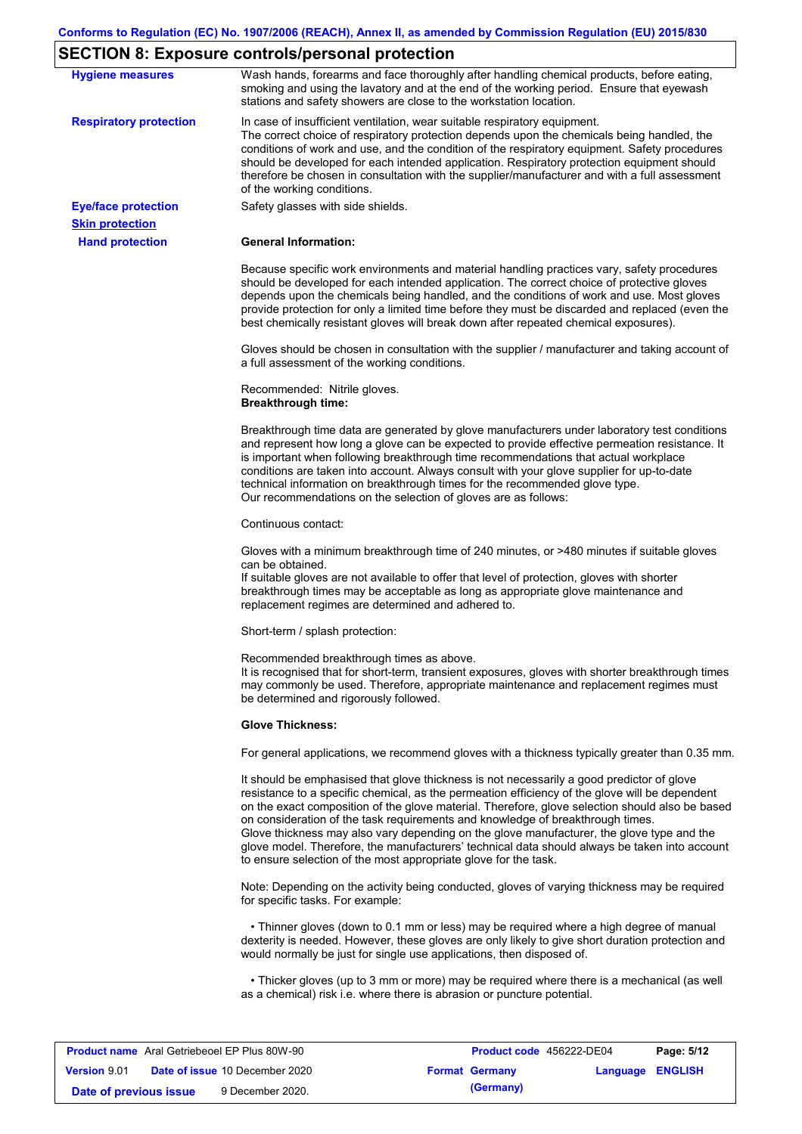# **SECTION 8: Exposure controls/personal protection**

|                                                      | LOTION 0. Exposure controls/personal protection                                                                                                                                                                                                                                                                                                                                                                                                                                                                                                                                                                                                   |
|------------------------------------------------------|---------------------------------------------------------------------------------------------------------------------------------------------------------------------------------------------------------------------------------------------------------------------------------------------------------------------------------------------------------------------------------------------------------------------------------------------------------------------------------------------------------------------------------------------------------------------------------------------------------------------------------------------------|
| <b>Hygiene measures</b>                              | Wash hands, forearms and face thoroughly after handling chemical products, before eating,<br>smoking and using the lavatory and at the end of the working period. Ensure that eyewash<br>stations and safety showers are close to the workstation location.                                                                                                                                                                                                                                                                                                                                                                                       |
| <b>Respiratory protection</b>                        | In case of insufficient ventilation, wear suitable respiratory equipment.<br>The correct choice of respiratory protection depends upon the chemicals being handled, the<br>conditions of work and use, and the condition of the respiratory equipment. Safety procedures<br>should be developed for each intended application. Respiratory protection equipment should<br>therefore be chosen in consultation with the supplier/manufacturer and with a full assessment<br>of the working conditions.                                                                                                                                             |
| <b>Eye/face protection</b><br><b>Skin protection</b> | Safety glasses with side shields.                                                                                                                                                                                                                                                                                                                                                                                                                                                                                                                                                                                                                 |
| <b>Hand protection</b>                               | <b>General Information:</b>                                                                                                                                                                                                                                                                                                                                                                                                                                                                                                                                                                                                                       |
|                                                      | Because specific work environments and material handling practices vary, safety procedures<br>should be developed for each intended application. The correct choice of protective gloves<br>depends upon the chemicals being handled, and the conditions of work and use. Most gloves<br>provide protection for only a limited time before they must be discarded and replaced (even the<br>best chemically resistant gloves will break down after repeated chemical exposures).                                                                                                                                                                  |
|                                                      | Gloves should be chosen in consultation with the supplier / manufacturer and taking account of<br>a full assessment of the working conditions.                                                                                                                                                                                                                                                                                                                                                                                                                                                                                                    |
|                                                      | Recommended: Nitrile gloves.<br><b>Breakthrough time:</b>                                                                                                                                                                                                                                                                                                                                                                                                                                                                                                                                                                                         |
|                                                      | Breakthrough time data are generated by glove manufacturers under laboratory test conditions<br>and represent how long a glove can be expected to provide effective permeation resistance. It<br>is important when following breakthrough time recommendations that actual workplace<br>conditions are taken into account. Always consult with your glove supplier for up-to-date<br>technical information on breakthrough times for the recommended glove type.<br>Our recommendations on the selection of gloves are as follows:                                                                                                                |
|                                                      | Continuous contact:                                                                                                                                                                                                                                                                                                                                                                                                                                                                                                                                                                                                                               |
|                                                      | Gloves with a minimum breakthrough time of 240 minutes, or >480 minutes if suitable gloves<br>can be obtained.<br>If suitable gloves are not available to offer that level of protection, gloves with shorter<br>breakthrough times may be acceptable as long as appropriate glove maintenance and<br>replacement regimes are determined and adhered to.                                                                                                                                                                                                                                                                                          |
|                                                      | Short-term / splash protection:                                                                                                                                                                                                                                                                                                                                                                                                                                                                                                                                                                                                                   |
|                                                      | Recommended breakthrough times as above.<br>It is recognised that for short-term, transient exposures, gloves with shorter breakthrough times<br>may commonly be used. Therefore, appropriate maintenance and replacement regimes must<br>be determined and rigorously followed.                                                                                                                                                                                                                                                                                                                                                                  |
|                                                      | <b>Glove Thickness:</b>                                                                                                                                                                                                                                                                                                                                                                                                                                                                                                                                                                                                                           |
|                                                      | For general applications, we recommend gloves with a thickness typically greater than 0.35 mm.                                                                                                                                                                                                                                                                                                                                                                                                                                                                                                                                                    |
|                                                      | It should be emphasised that glove thickness is not necessarily a good predictor of glove<br>resistance to a specific chemical, as the permeation efficiency of the glove will be dependent<br>on the exact composition of the glove material. Therefore, glove selection should also be based<br>on consideration of the task requirements and knowledge of breakthrough times.<br>Glove thickness may also vary depending on the glove manufacturer, the glove type and the<br>glove model. Therefore, the manufacturers' technical data should always be taken into account<br>to ensure selection of the most appropriate glove for the task. |
|                                                      | Note: Depending on the activity being conducted, gloves of varying thickness may be required<br>for specific tasks. For example:                                                                                                                                                                                                                                                                                                                                                                                                                                                                                                                  |
|                                                      | • Thinner gloves (down to 0.1 mm or less) may be required where a high degree of manual<br>dexterity is needed. However, these gloves are only likely to give short duration protection and<br>would normally be just for single use applications, then disposed of.                                                                                                                                                                                                                                                                                                                                                                              |
|                                                      | • Thicker gloves (up to 3 mm or more) may be required where there is a mechanical (as well<br>as a chemical) risk i.e. where there is abrasion or puncture potential.                                                                                                                                                                                                                                                                                                                                                                                                                                                                             |

|                        | <b>Product name</b> Aral Getriebeoel EP Plus 80W-90 | <b>Product code</b> 456222-DE04 |                  | Page: 5/12 |
|------------------------|-----------------------------------------------------|---------------------------------|------------------|------------|
| <b>Version</b> 9.01    | <b>Date of issue 10 December 2020</b>               | <b>Format Germany</b>           | Language ENGLISH |            |
| Date of previous issue | 9 December 2020.                                    | (Germany)                       |                  |            |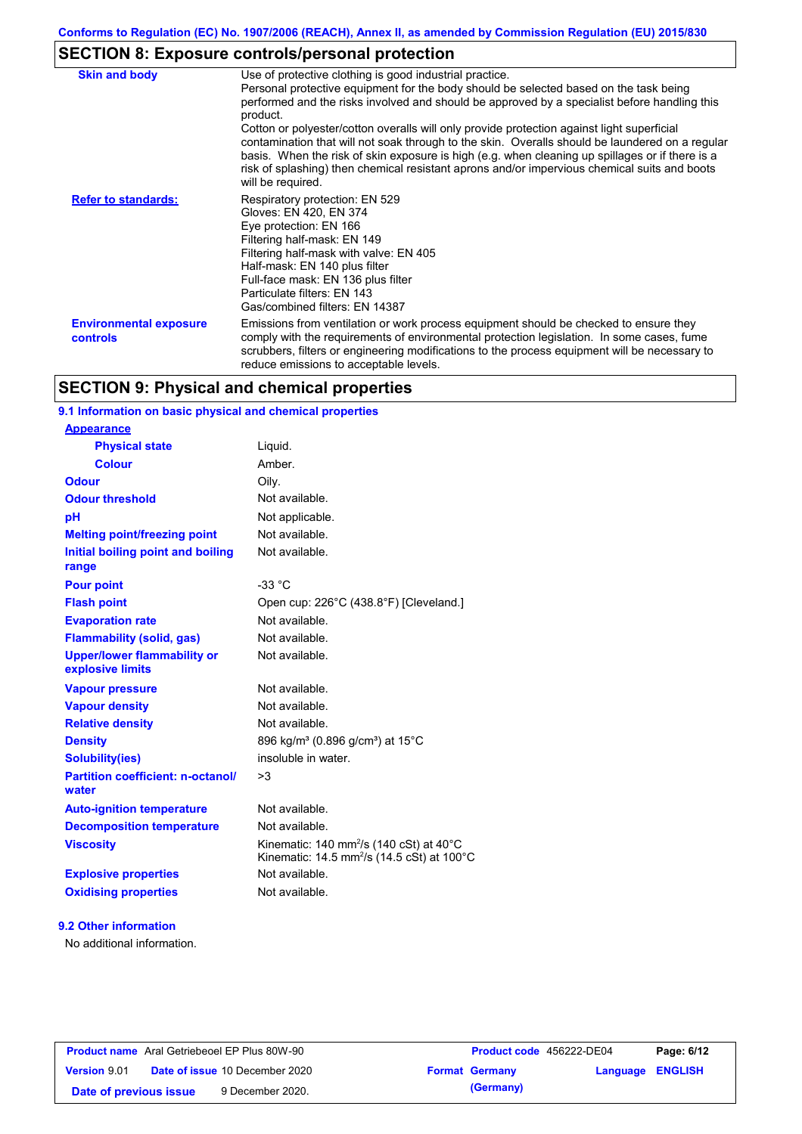# **SECTION 8: Exposure controls/personal protection**

| <b>Skin and body</b>                             | Use of protective clothing is good industrial practice.<br>Personal protective equipment for the body should be selected based on the task being<br>performed and the risks involved and should be approved by a specialist before handling this<br>product.<br>Cotton or polyester/cotton overalls will only provide protection against light superficial<br>contamination that will not soak through to the skin. Overalls should be laundered on a regular<br>basis. When the risk of skin exposure is high (e.g. when cleaning up spillages or if there is a<br>risk of splashing) then chemical resistant aprons and/or impervious chemical suits and boots<br>will be required. |
|--------------------------------------------------|---------------------------------------------------------------------------------------------------------------------------------------------------------------------------------------------------------------------------------------------------------------------------------------------------------------------------------------------------------------------------------------------------------------------------------------------------------------------------------------------------------------------------------------------------------------------------------------------------------------------------------------------------------------------------------------|
| <b>Refer to standards:</b>                       | Respiratory protection: EN 529<br>Gloves: EN 420, EN 374<br>Eye protection: EN 166<br>Filtering half-mask: EN 149<br>Filtering half-mask with valve: EN 405<br>Half-mask: EN 140 plus filter<br>Full-face mask: EN 136 plus filter<br>Particulate filters: EN 143<br>Gas/combined filters: EN 14387                                                                                                                                                                                                                                                                                                                                                                                   |
| <b>Environmental exposure</b><br><b>controls</b> | Emissions from ventilation or work process equipment should be checked to ensure they<br>comply with the requirements of environmental protection legislation. In some cases, fume<br>scrubbers, filters or engineering modifications to the process equipment will be necessary to<br>reduce emissions to acceptable levels.                                                                                                                                                                                                                                                                                                                                                         |

# **SECTION 9: Physical and chemical properties**

## **9.1 Information on basic physical and chemical properties**

| <b>Appearance</b>                                      |                                                                                                                                     |
|--------------------------------------------------------|-------------------------------------------------------------------------------------------------------------------------------------|
| <b>Physical state</b>                                  | Liquid.                                                                                                                             |
| <b>Colour</b>                                          | Amber.                                                                                                                              |
| <b>Odour</b>                                           | Oilv.                                                                                                                               |
| <b>Odour threshold</b>                                 | Not available.                                                                                                                      |
| рH                                                     | Not applicable.                                                                                                                     |
| <b>Melting point/freezing point</b>                    | Not available.                                                                                                                      |
| Initial boiling point and boiling<br>range             | Not available.                                                                                                                      |
| <b>Pour point</b>                                      | $-33 °C$                                                                                                                            |
| <b>Flash point</b>                                     | Open cup: 226°C (438.8°F) [Cleveland.]                                                                                              |
| <b>Evaporation rate</b>                                | Not available.                                                                                                                      |
| <b>Flammability (solid, gas)</b>                       | Not available.                                                                                                                      |
| <b>Upper/lower flammability or</b><br>explosive limits | Not available.                                                                                                                      |
| <b>Vapour pressure</b>                                 | Not available.                                                                                                                      |
| <b>Vapour density</b>                                  | Not available.                                                                                                                      |
| <b>Relative density</b>                                | Not available.                                                                                                                      |
| <b>Density</b>                                         | 896 kg/m <sup>3</sup> (0.896 g/cm <sup>3</sup> ) at 15 <sup>°</sup> C                                                               |
| <b>Solubility(ies)</b>                                 | insoluble in water.                                                                                                                 |
| <b>Partition coefficient: n-octanol/</b><br>water      | >3                                                                                                                                  |
| <b>Auto-ignition temperature</b>                       | Not available.                                                                                                                      |
| <b>Decomposition temperature</b>                       | Not available.                                                                                                                      |
| <b>Viscosity</b>                                       | Kinematic: 140 mm <sup>2</sup> /s (140 cSt) at 40 $^{\circ}$ C<br>Kinematic: 14.5 mm <sup>2</sup> /s (14.5 cSt) at 100 $^{\circ}$ C |
| <b>Explosive properties</b>                            | Not available.                                                                                                                      |
| <b>Oxidising properties</b>                            | Not available.                                                                                                                      |
|                                                        |                                                                                                                                     |

## **9.2 Other information**

No additional information.

|                        | <b>Product name</b> Aral Getriebeoel EP Plus 80W-90 | <b>Product code</b> 456222-DE04 |                         | Page: 6/12 |
|------------------------|-----------------------------------------------------|---------------------------------|-------------------------|------------|
| Version 9.01           | <b>Date of issue 10 December 2020</b>               | <b>Format Germany</b>           | <b>Language ENGLISH</b> |            |
| Date of previous issue | 9 December 2020.                                    | (Germany)                       |                         |            |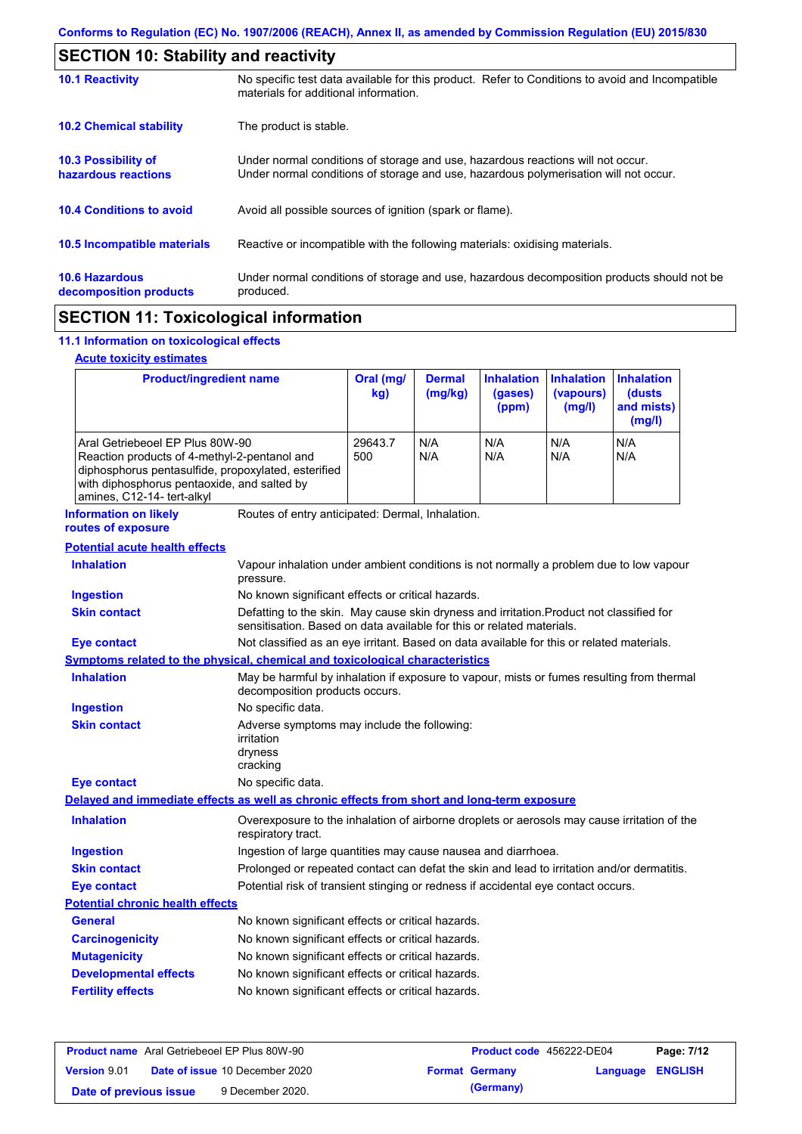| <b>SECTION 10: Stability and reactivity</b>       |                                                                                                                                                                         |  |  |
|---------------------------------------------------|-------------------------------------------------------------------------------------------------------------------------------------------------------------------------|--|--|
| <b>10.1 Reactivity</b>                            | No specific test data available for this product. Refer to Conditions to avoid and Incompatible<br>materials for additional information.                                |  |  |
| <b>10.2 Chemical stability</b>                    | The product is stable.                                                                                                                                                  |  |  |
| <b>10.3 Possibility of</b><br>hazardous reactions | Under normal conditions of storage and use, hazardous reactions will not occur.<br>Under normal conditions of storage and use, hazardous polymerisation will not occur. |  |  |
| <b>10.4 Conditions to avoid</b>                   | Avoid all possible sources of ignition (spark or flame).                                                                                                                |  |  |
| 10.5 Incompatible materials                       | Reactive or incompatible with the following materials: oxidising materials.                                                                                             |  |  |
| <b>10.6 Hazardous</b><br>decomposition products   | Under normal conditions of storage and use, hazardous decomposition products should not be<br>produced.                                                                 |  |  |
|                                                   |                                                                                                                                                                         |  |  |

# **SECTION 11: Toxicological information**

## **11.1 Information on toxicological effects**

## **Acute toxicity estimates**

 $\mathsf{r}$ 

| <b>Product/ingredient name</b>                                                                                                                                                                                      |                                                                                                     | Oral (mg/<br>kg)                                                                                                                                                  | <b>Dermal</b><br>(mg/kg) | <b>Inhalation</b><br>(gases)<br>(ppm) | <b>Inhalation</b><br>(vapours)<br>(mg/l) | <b>Inhalation</b><br>(dusts<br>and mists)<br>(mg/l) |
|---------------------------------------------------------------------------------------------------------------------------------------------------------------------------------------------------------------------|-----------------------------------------------------------------------------------------------------|-------------------------------------------------------------------------------------------------------------------------------------------------------------------|--------------------------|---------------------------------------|------------------------------------------|-----------------------------------------------------|
| Aral Getriebeoel EP Plus 80W-90<br>Reaction products of 4-methyl-2-pentanol and<br>diphosphorus pentasulfide, propoxylated, esterified<br>with diphosphorus pentaoxide, and salted by<br>amines, C12-14- tert-alkyl |                                                                                                     | 29643.7<br>500                                                                                                                                                    | N/A<br>N/A               | N/A<br>N/A                            | N/A<br>N/A                               | N/A<br>N/A                                          |
| <b>Information on likely</b><br>routes of exposure                                                                                                                                                                  | Routes of entry anticipated: Dermal, Inhalation.                                                    |                                                                                                                                                                   |                          |                                       |                                          |                                                     |
| <b>Potential acute health effects</b>                                                                                                                                                                               |                                                                                                     |                                                                                                                                                                   |                          |                                       |                                          |                                                     |
| <b>Inhalation</b>                                                                                                                                                                                                   | Vapour inhalation under ambient conditions is not normally a problem due to low vapour<br>pressure. |                                                                                                                                                                   |                          |                                       |                                          |                                                     |
| <b>Ingestion</b>                                                                                                                                                                                                    | No known significant effects or critical hazards.                                                   |                                                                                                                                                                   |                          |                                       |                                          |                                                     |
| <b>Skin contact</b>                                                                                                                                                                                                 |                                                                                                     | Defatting to the skin. May cause skin dryness and irritation. Product not classified for<br>sensitisation. Based on data available for this or related materials. |                          |                                       |                                          |                                                     |
| <b>Eye contact</b>                                                                                                                                                                                                  |                                                                                                     | Not classified as an eye irritant. Based on data available for this or related materials.                                                                         |                          |                                       |                                          |                                                     |
| <b>Symptoms related to the physical, chemical and toxicological characteristics</b>                                                                                                                                 |                                                                                                     |                                                                                                                                                                   |                          |                                       |                                          |                                                     |
| <b>Inhalation</b>                                                                                                                                                                                                   |                                                                                                     | May be harmful by inhalation if exposure to vapour, mists or fumes resulting from thermal<br>decomposition products occurs.                                       |                          |                                       |                                          |                                                     |
| <b>Ingestion</b>                                                                                                                                                                                                    | No specific data.                                                                                   |                                                                                                                                                                   |                          |                                       |                                          |                                                     |
| <b>Skin contact</b>                                                                                                                                                                                                 | irritation<br>dryness<br>cracking                                                                   | Adverse symptoms may include the following:                                                                                                                       |                          |                                       |                                          |                                                     |
| <b>Eye contact</b>                                                                                                                                                                                                  | No specific data.                                                                                   |                                                                                                                                                                   |                          |                                       |                                          |                                                     |
| Delayed and immediate effects as well as chronic effects from short and long-term exposure                                                                                                                          |                                                                                                     |                                                                                                                                                                   |                          |                                       |                                          |                                                     |
| <b>Inhalation</b>                                                                                                                                                                                                   | respiratory tract.                                                                                  | Overexposure to the inhalation of airborne droplets or aerosols may cause irritation of the                                                                       |                          |                                       |                                          |                                                     |
| <b>Ingestion</b>                                                                                                                                                                                                    | Ingestion of large quantities may cause nausea and diarrhoea.                                       |                                                                                                                                                                   |                          |                                       |                                          |                                                     |
| <b>Skin contact</b>                                                                                                                                                                                                 | Prolonged or repeated contact can defat the skin and lead to irritation and/or dermatitis.          |                                                                                                                                                                   |                          |                                       |                                          |                                                     |
| <b>Eye contact</b>                                                                                                                                                                                                  |                                                                                                     | Potential risk of transient stinging or redness if accidental eye contact occurs.                                                                                 |                          |                                       |                                          |                                                     |
| <b>Potential chronic health effects</b>                                                                                                                                                                             |                                                                                                     |                                                                                                                                                                   |                          |                                       |                                          |                                                     |
| <b>General</b>                                                                                                                                                                                                      | No known significant effects or critical hazards.                                                   |                                                                                                                                                                   |                          |                                       |                                          |                                                     |

| <b>General</b>               | No known significant effects or critical hazards. |
|------------------------------|---------------------------------------------------|
| <b>Carcinogenicity</b>       | No known significant effects or critical hazards. |
| <b>Mutagenicity</b>          | No known significant effects or critical hazards. |
| <b>Developmental effects</b> | No known significant effects or critical hazards. |
| <b>Fertility effects</b>     | No known significant effects or critical hazards. |

| <b>Product name</b> Aral Getriebeoel EP Plus 80W-90 |  |                                       | <b>Product code</b> 456222-DE04 |                       | Page: 7/12              |  |
|-----------------------------------------------------|--|---------------------------------------|---------------------------------|-----------------------|-------------------------|--|
| Version 9.01                                        |  | <b>Date of issue 10 December 2020</b> |                                 | <b>Format Germany</b> | <b>Language ENGLISH</b> |  |
| Date of previous issue                              |  | 9 December 2020.                      |                                 | (Germany)             |                         |  |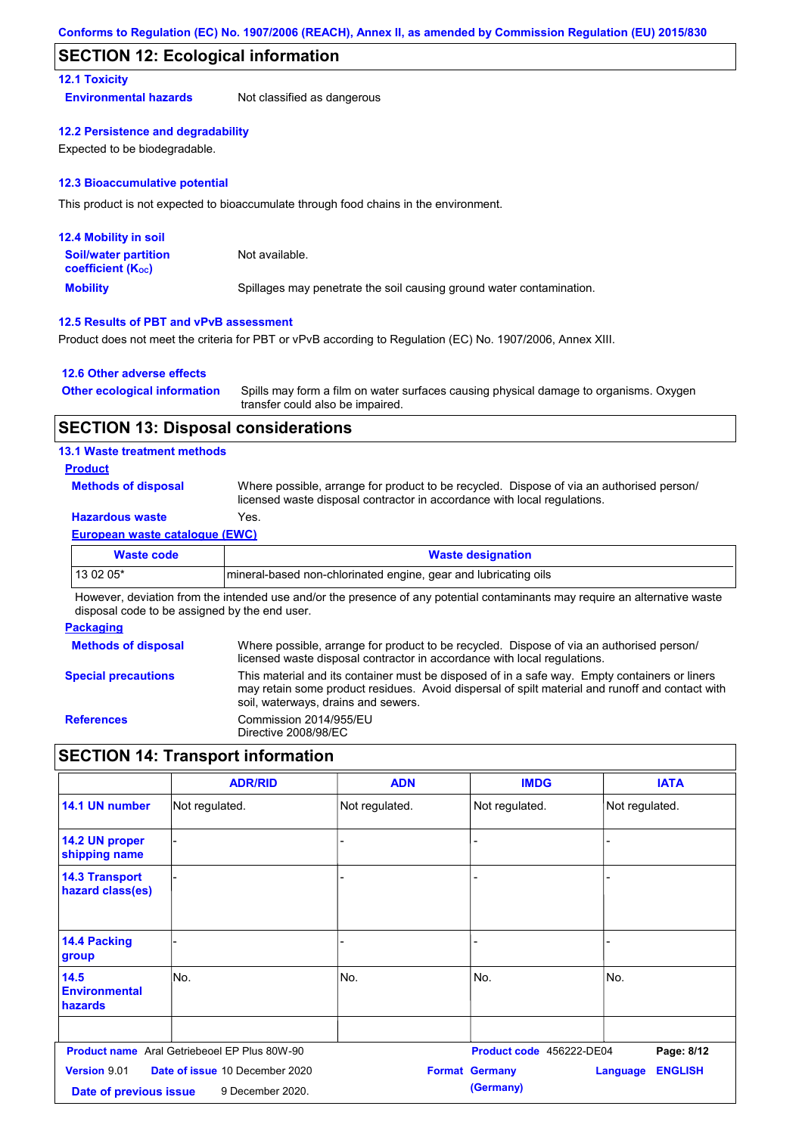## **SECTION 12: Ecological information**

## **12.1 Toxicity**

**Environmental hazards** Not classified as dangerous

#### **12.2 Persistence and degradability**

Expected to be biodegradable.

#### **12.3 Bioaccumulative potential**

This product is not expected to bioaccumulate through food chains in the environment.

| <b>12.4 Mobility in soil</b>                                  |                                                                      |
|---------------------------------------------------------------|----------------------------------------------------------------------|
| <b>Soil/water partition</b><br>coefficient (K <sub>oc</sub> ) | Not available.                                                       |
| <b>Mobility</b>                                               | Spillages may penetrate the soil causing ground water contamination. |

## **12.5 Results of PBT and vPvB assessment**

Product does not meet the criteria for PBT or vPvB according to Regulation (EC) No. 1907/2006, Annex XIII.

#### **12.6 Other adverse effects**

| <b>Other ecological information</b> | Spills may form a film on water surfaces causing physical damage to organisms. Oxygen |
|-------------------------------------|---------------------------------------------------------------------------------------|
|                                     | transfer could also be impaired.                                                      |

## **SECTION 13: Disposal considerations**

## **13.1 Waste treatment methods**

## **Product**

**Methods of disposal**

Where possible, arrange for product to be recycled. Dispose of via an authorised person/ licensed waste disposal contractor in accordance with local regulations.

## **Hazardous waste** Yes.

#### **European waste catalogue (EWC)**

| <b>Waste designation</b>                                         |
|------------------------------------------------------------------|
| Imineral-based non-chlorinated engine, gear and lubricating oils |
|                                                                  |

However, deviation from the intended use and/or the presence of any potential contaminants may require an alternative waste disposal code to be assigned by the end user.

#### **Packaging**

| <b>Methods of disposal</b> | Where possible, arrange for product to be recycled. Dispose of via an authorised person/<br>licensed waste disposal contractor in accordance with local regulations.                                                                    |
|----------------------------|-----------------------------------------------------------------------------------------------------------------------------------------------------------------------------------------------------------------------------------------|
| <b>Special precautions</b> | This material and its container must be disposed of in a safe way. Empty containers or liners<br>may retain some product residues. Avoid dispersal of spilt material and runoff and contact with<br>soil, waterways, drains and sewers. |
| <b>References</b>          | Commission 2014/955/EU<br>Directive 2008/98/EC                                                                                                                                                                                          |

# **SECTION 14: Transport information**

|                                               | <b>ADR/RID</b>                                      | <b>ADN</b>     | <b>IMDG</b>                        | <b>IATA</b>                       |
|-----------------------------------------------|-----------------------------------------------------|----------------|------------------------------------|-----------------------------------|
| 14.1 UN number                                | Not regulated.                                      | Not regulated. | Not regulated.                     | Not regulated.                    |
| 14.2 UN proper<br>shipping name               |                                                     | L,             |                                    |                                   |
| <b>14.3 Transport</b><br>hazard class(es)     |                                                     |                |                                    |                                   |
| 14.4 Packing<br>group                         |                                                     |                |                                    |                                   |
| 14.5<br><b>Environmental</b><br>hazards       | lNo.                                                | No.            | No.                                | INo.                              |
|                                               | <b>Product name</b> Aral Getriebeoel EP Plus 80W-90 |                | Product code 456222-DE04           | Page: 8/12                        |
| <b>Version 9.01</b><br>Date of previous issue | Date of issue 10 December 2020<br>9 December 2020.  |                | <b>Format Germany</b><br>(Germany) | <b>ENGLISH</b><br><b>Language</b> |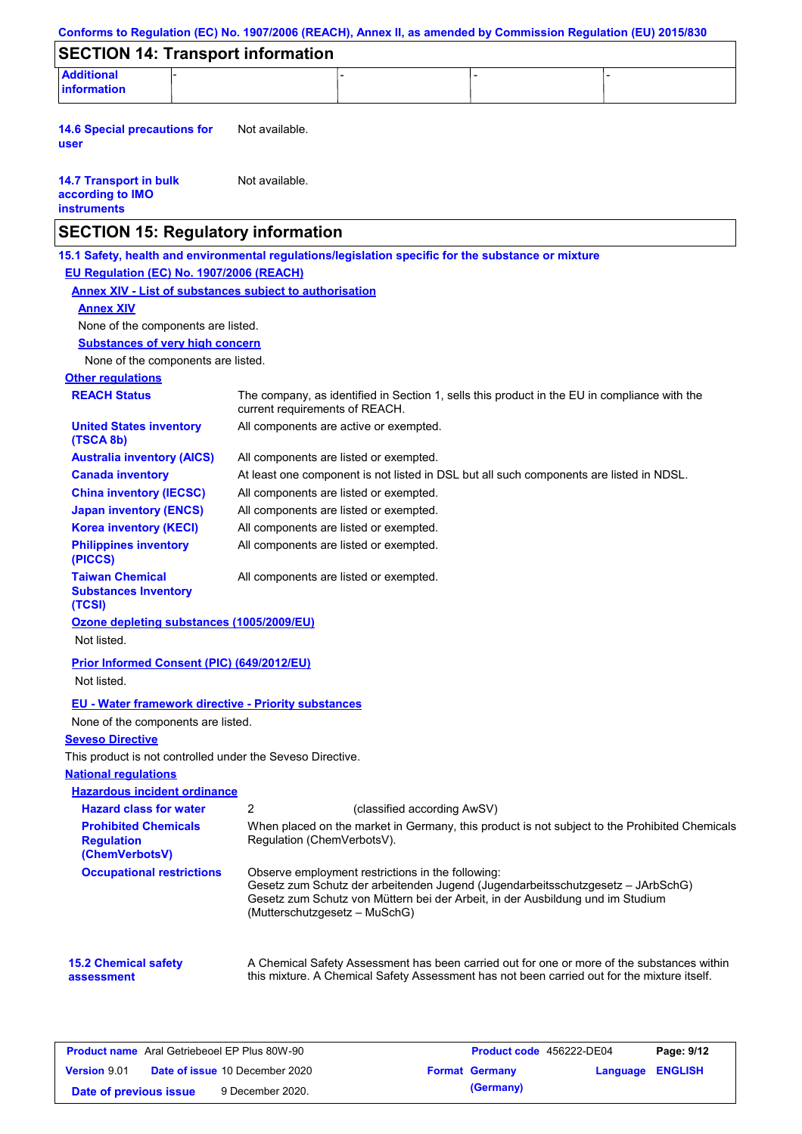|                                                                                                     |                                |                                                                                    |                             |                                                                                                                                                                                           | Conforms to Regulation (EC) No. 1907/2006 (REACH), Annex II, as amended by Commission Regulation (EU) 2015/830 |
|-----------------------------------------------------------------------------------------------------|--------------------------------|------------------------------------------------------------------------------------|-----------------------------|-------------------------------------------------------------------------------------------------------------------------------------------------------------------------------------------|----------------------------------------------------------------------------------------------------------------|
| <b>SECTION 14: Transport information</b>                                                            |                                |                                                                                    |                             |                                                                                                                                                                                           |                                                                                                                |
| <b>Additional</b><br>information                                                                    |                                |                                                                                    |                             |                                                                                                                                                                                           |                                                                                                                |
| <b>14.6 Special precautions for</b><br>user                                                         | Not available.                 |                                                                                    |                             |                                                                                                                                                                                           |                                                                                                                |
| <b>14.7 Transport in bulk</b><br>according to IMO<br><b>instruments</b>                             | Not available.                 |                                                                                    |                             |                                                                                                                                                                                           |                                                                                                                |
| <b>SECTION 15: Regulatory information</b>                                                           |                                |                                                                                    |                             |                                                                                                                                                                                           |                                                                                                                |
| 15.1 Safety, health and environmental regulations/legislation specific for the substance or mixture |                                |                                                                                    |                             |                                                                                                                                                                                           |                                                                                                                |
| EU Regulation (EC) No. 1907/2006 (REACH)                                                            |                                |                                                                                    |                             |                                                                                                                                                                                           |                                                                                                                |
| <b>Annex XIV - List of substances subject to authorisation</b>                                      |                                |                                                                                    |                             |                                                                                                                                                                                           |                                                                                                                |
| <b>Annex XIV</b>                                                                                    |                                |                                                                                    |                             |                                                                                                                                                                                           |                                                                                                                |
| None of the components are listed.                                                                  |                                |                                                                                    |                             |                                                                                                                                                                                           |                                                                                                                |
| <b>Substances of very high concern</b>                                                              |                                |                                                                                    |                             |                                                                                                                                                                                           |                                                                                                                |
| None of the components are listed.                                                                  |                                |                                                                                    |                             |                                                                                                                                                                                           |                                                                                                                |
| <b>Other regulations</b>                                                                            |                                |                                                                                    |                             |                                                                                                                                                                                           |                                                                                                                |
| <b>REACH Status</b>                                                                                 | current requirements of REACH. |                                                                                    |                             | The company, as identified in Section 1, sells this product in the EU in compliance with the                                                                                              |                                                                                                                |
| <b>United States inventory</b><br>(TSCA 8b)                                                         |                                | All components are active or exempted.                                             |                             |                                                                                                                                                                                           |                                                                                                                |
| <b>Australia inventory (AICS)</b>                                                                   |                                | All components are listed or exempted.                                             |                             |                                                                                                                                                                                           |                                                                                                                |
| <b>Canada inventory</b>                                                                             |                                |                                                                                    |                             | At least one component is not listed in DSL but all such components are listed in NDSL.                                                                                                   |                                                                                                                |
| <b>China inventory (IECSC)</b>                                                                      |                                | All components are listed or exempted.                                             |                             |                                                                                                                                                                                           |                                                                                                                |
| <b>Japan inventory (ENCS)</b>                                                                       |                                | All components are listed or exempted.                                             |                             |                                                                                                                                                                                           |                                                                                                                |
| <b>Korea inventory (KECI)</b>                                                                       |                                | All components are listed or exempted.                                             |                             |                                                                                                                                                                                           |                                                                                                                |
| <b>Philippines inventory</b><br>(PICCS)                                                             |                                | All components are listed or exempted.                                             |                             |                                                                                                                                                                                           |                                                                                                                |
| <b>Taiwan Chemical</b><br><b>Substances Inventory</b><br>(TCSI)                                     |                                | All components are listed or exempted.                                             |                             |                                                                                                                                                                                           |                                                                                                                |
| Ozone depleting substances (1005/2009/EU)<br>Not listed.                                            |                                |                                                                                    |                             |                                                                                                                                                                                           |                                                                                                                |
| Prior Informed Consent (PIC) (649/2012/EU)<br>Not listed.                                           |                                |                                                                                    |                             |                                                                                                                                                                                           |                                                                                                                |
|                                                                                                     |                                |                                                                                    |                             |                                                                                                                                                                                           |                                                                                                                |
| <b>EU - Water framework directive - Priority substances</b>                                         |                                |                                                                                    |                             |                                                                                                                                                                                           |                                                                                                                |
| None of the components are listed.                                                                  |                                |                                                                                    |                             |                                                                                                                                                                                           |                                                                                                                |
| <b>Seveso Directive</b>                                                                             |                                |                                                                                    |                             |                                                                                                                                                                                           |                                                                                                                |
| This product is not controlled under the Seveso Directive.                                          |                                |                                                                                    |                             |                                                                                                                                                                                           |                                                                                                                |
| <b>National requlations</b><br><b>Hazardous incident ordinance</b>                                  |                                |                                                                                    |                             |                                                                                                                                                                                           |                                                                                                                |
| <b>Hazard class for water</b>                                                                       | $\overline{2}$                 |                                                                                    | (classified according AwSV) |                                                                                                                                                                                           |                                                                                                                |
| <b>Prohibited Chemicals</b>                                                                         |                                |                                                                                    |                             | When placed on the market in Germany, this product is not subject to the Prohibited Chemicals                                                                                             |                                                                                                                |
| <b>Regulation</b><br>(ChemVerbotsV)                                                                 | Regulation (ChemVerbotsV).     |                                                                                    |                             |                                                                                                                                                                                           |                                                                                                                |
| <b>Occupational restrictions</b>                                                                    |                                | Observe employment restrictions in the following:<br>(Mutterschutzgesetz - MuSchG) |                             | Gesetz zum Schutz der arbeitenden Jugend (Jugendarbeitsschutzgesetz - JArbSchG)<br>Gesetz zum Schutz von Müttern bei der Arbeit, in der Ausbildung und im Studium                         |                                                                                                                |
| <b>15.2 Chemical safety</b>                                                                         |                                |                                                                                    |                             | A Chemical Safety Assessment has been carried out for one or more of the substances within<br>this mixture. A Chemical Safety Assessment has not been carried out for the mixture itself. |                                                                                                                |

| <b>Product name</b> Aral Getriebeoel EP Plus 80W-90 |  |                                       | Product code 456222-DE04 | Page: 9/12            |                  |  |
|-----------------------------------------------------|--|---------------------------------------|--------------------------|-----------------------|------------------|--|
| <b>Version 9.01</b>                                 |  | <b>Date of issue 10 December 2020</b> |                          | <b>Format Germany</b> | Language ENGLISH |  |
| Date of previous issue                              |  | 9 December 2020.                      |                          | (Germany)             |                  |  |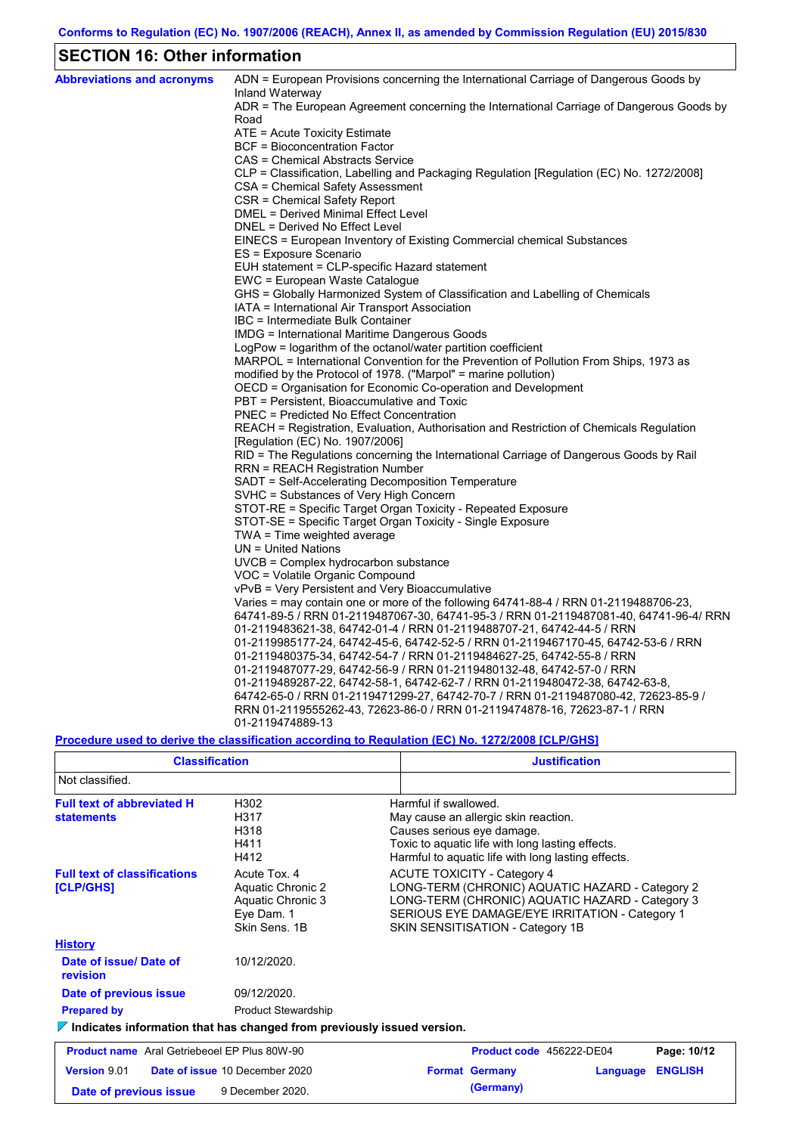# **SECTION 16: Other information**

 $\mathsf{r}$ 

| <b>Abbreviations and acronyms</b> | ADN = European Provisions concerning the International Carriage of Dangerous Goods by                                                                              |
|-----------------------------------|--------------------------------------------------------------------------------------------------------------------------------------------------------------------|
|                                   | Inland Waterway                                                                                                                                                    |
|                                   | ADR = The European Agreement concerning the International Carriage of Dangerous Goods by<br>Road                                                                   |
|                                   | ATE = Acute Toxicity Estimate                                                                                                                                      |
|                                   | <b>BCF</b> = Bioconcentration Factor                                                                                                                               |
|                                   | CAS = Chemical Abstracts Service                                                                                                                                   |
|                                   | CLP = Classification, Labelling and Packaging Regulation [Regulation (EC) No. 1272/2008]                                                                           |
|                                   | CSA = Chemical Safety Assessment                                                                                                                                   |
|                                   | CSR = Chemical Safety Report                                                                                                                                       |
|                                   | DMEL = Derived Minimal Effect Level                                                                                                                                |
|                                   | DNEL = Derived No Effect Level                                                                                                                                     |
|                                   | EINECS = European Inventory of Existing Commercial chemical Substances                                                                                             |
|                                   | ES = Exposure Scenario                                                                                                                                             |
|                                   | EUH statement = CLP-specific Hazard statement                                                                                                                      |
|                                   | EWC = European Waste Catalogue                                                                                                                                     |
|                                   | GHS = Globally Harmonized System of Classification and Labelling of Chemicals                                                                                      |
|                                   | IATA = International Air Transport Association                                                                                                                     |
|                                   | IBC = Intermediate Bulk Container                                                                                                                                  |
|                                   | IMDG = International Maritime Dangerous Goods                                                                                                                      |
|                                   | LogPow = logarithm of the octanol/water partition coefficient                                                                                                      |
|                                   | MARPOL = International Convention for the Prevention of Pollution From Ships, 1973 as                                                                              |
|                                   | modified by the Protocol of 1978. ("Marpol" = marine pollution)                                                                                                    |
|                                   | OECD = Organisation for Economic Co-operation and Development                                                                                                      |
|                                   | PBT = Persistent, Bioaccumulative and Toxic<br><b>PNEC = Predicted No Effect Concentration</b>                                                                     |
|                                   | REACH = Registration, Evaluation, Authorisation and Restriction of Chemicals Regulation                                                                            |
|                                   | [Regulation (EC) No. 1907/2006]                                                                                                                                    |
|                                   | RID = The Regulations concerning the International Carriage of Dangerous Goods by Rail                                                                             |
|                                   | RRN = REACH Registration Number                                                                                                                                    |
|                                   | SADT = Self-Accelerating Decomposition Temperature                                                                                                                 |
|                                   | SVHC = Substances of Very High Concern                                                                                                                             |
|                                   | STOT-RE = Specific Target Organ Toxicity - Repeated Exposure                                                                                                       |
|                                   | STOT-SE = Specific Target Organ Toxicity - Single Exposure                                                                                                         |
|                                   | TWA = Time weighted average                                                                                                                                        |
|                                   | $UN = United Nations$                                                                                                                                              |
|                                   | UVCB = Complex hydrocarbon substance                                                                                                                               |
|                                   | VOC = Volatile Organic Compound                                                                                                                                    |
|                                   | vPvB = Very Persistent and Very Bioaccumulative                                                                                                                    |
|                                   | Varies = may contain one or more of the following 64741-88-4 / RRN 01-2119488706-23,                                                                               |
|                                   | 64741-89-5 / RRN 01-2119487067-30, 64741-95-3 / RRN 01-2119487081-40, 64741-96-4/ RRN                                                                              |
|                                   | 01-2119483621-38, 64742-01-4 / RRN 01-2119488707-21, 64742-44-5 / RRN                                                                                              |
|                                   | 01-2119985177-24, 64742-45-6, 64742-52-5 / RRN 01-2119467170-45, 64742-53-6 / RRN                                                                                  |
|                                   | 01-2119480375-34, 64742-54-7 / RRN 01-2119484627-25, 64742-55-8 / RRN                                                                                              |
|                                   | 01-2119487077-29, 64742-56-9 / RRN 01-2119480132-48, 64742-57-0 / RRN                                                                                              |
|                                   | 01-2119489287-22, 64742-58-1, 64742-62-7 / RRN 01-2119480472-38, 64742-63-8,<br>64742-65-0 / RRN 01-2119471299-27, 64742-70-7 / RRN 01-2119487080-42, 72623-85-9 / |
|                                   | RRN 01-2119555262-43, 72623-86-0 / RRN 01-2119474878-16, 72623-87-1 / RRN                                                                                          |
|                                   | 01-2119474889-13                                                                                                                                                   |

## **Procedure used to derive the classification according to Regulation (EC) No. 1272/2008 [CLP/GHS]**

| <b>Classification</b>                                                                                                                     |                                      | <b>Justification</b>                                                                                                                                                                                                           |  |  |  |  |
|-------------------------------------------------------------------------------------------------------------------------------------------|--------------------------------------|--------------------------------------------------------------------------------------------------------------------------------------------------------------------------------------------------------------------------------|--|--|--|--|
| Not classified.                                                                                                                           |                                      |                                                                                                                                                                                                                                |  |  |  |  |
| <b>Full text of abbreviated H</b><br><b>statements</b>                                                                                    | H302<br>H317<br>H318<br>H411<br>H412 | Harmful if swallowed.<br>May cause an allergic skin reaction.<br>Causes serious eye damage.<br>Toxic to aquatic life with long lasting effects.<br>Harmful to aquatic life with long lasting effects.                          |  |  |  |  |
| <b>Full text of classifications</b><br>Acute Tox, 4<br>Aquatic Chronic 2<br>[CLP/GHS]<br>Aquatic Chronic 3<br>Eye Dam. 1<br>Skin Sens, 1B |                                      | <b>ACUTE TOXICITY - Category 4</b><br>LONG-TERM (CHRONIC) AQUATIC HAZARD - Category 2<br>LONG-TERM (CHRONIC) AQUATIC HAZARD - Category 3<br>SERIOUS EYE DAMAGE/EYE IRRITATION - Category 1<br>SKIN SENSITISATION - Category 1B |  |  |  |  |
| <b>History</b>                                                                                                                            |                                      |                                                                                                                                                                                                                                |  |  |  |  |
| Date of issue/Date of<br>revision                                                                                                         | 10/12/2020.                          |                                                                                                                                                                                                                                |  |  |  |  |
| Date of previous issue                                                                                                                    | 09/12/2020.                          |                                                                                                                                                                                                                                |  |  |  |  |
| <b>Prepared by</b>                                                                                                                        | <b>Product Stewardship</b>           |                                                                                                                                                                                                                                |  |  |  |  |
| $\triangledown$ Indicates information that has changed from previously issued version.                                                    |                                      |                                                                                                                                                                                                                                |  |  |  |  |
| <b>Product name</b> Aral Getriebeoel EP Plus 80W-90                                                                                       |                                      | Page: 10/12<br>Product code 456222-DE04                                                                                                                                                                                        |  |  |  |  |
| Version 9.01                                                                                                                              | Date of issue 10 December 2020       | <b>ENGLISH</b><br><b>Format Germany</b><br>Language                                                                                                                                                                            |  |  |  |  |
| 9 December 2020.<br>Date of previous issue                                                                                                |                                      | (Germany)                                                                                                                                                                                                                      |  |  |  |  |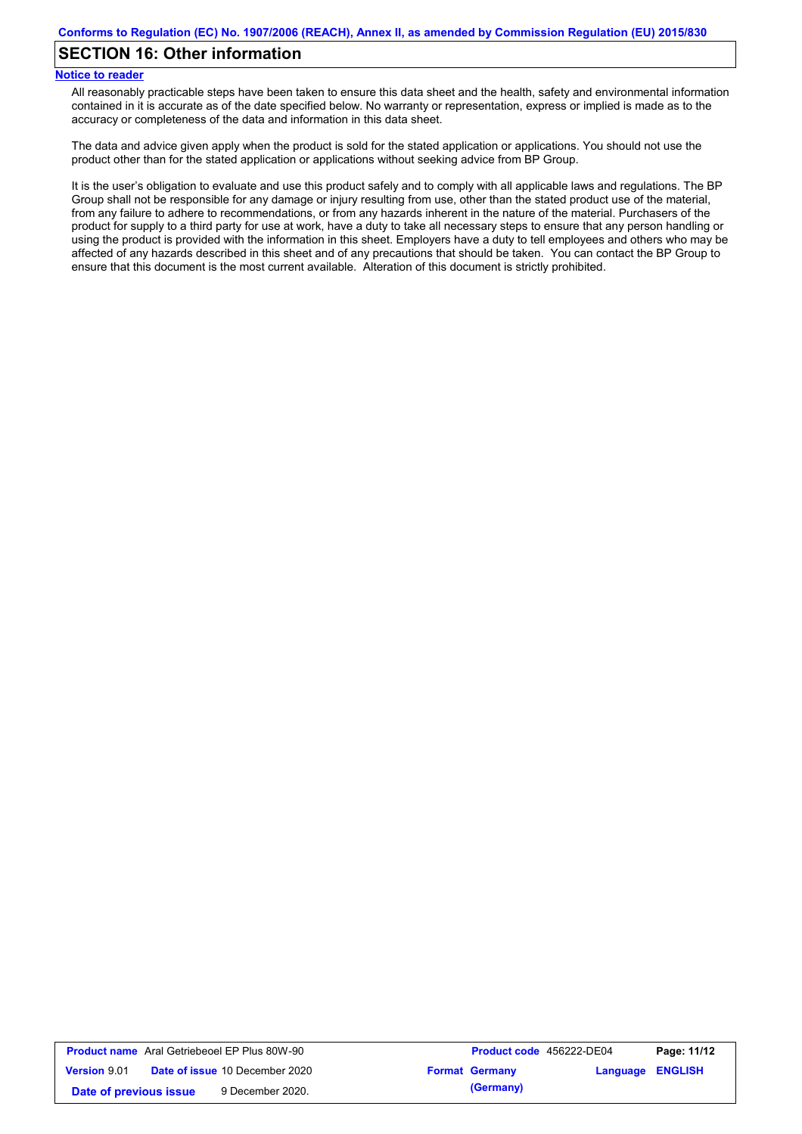## **SECTION 16: Other information**

#### **Notice to reader**

All reasonably practicable steps have been taken to ensure this data sheet and the health, safety and environmental information contained in it is accurate as of the date specified below. No warranty or representation, express or implied is made as to the accuracy or completeness of the data and information in this data sheet.

The data and advice given apply when the product is sold for the stated application or applications. You should not use the product other than for the stated application or applications without seeking advice from BP Group.

It is the user's obligation to evaluate and use this product safely and to comply with all applicable laws and regulations. The BP Group shall not be responsible for any damage or injury resulting from use, other than the stated product use of the material, from any failure to adhere to recommendations, or from any hazards inherent in the nature of the material. Purchasers of the product for supply to a third party for use at work, have a duty to take all necessary steps to ensure that any person handling or using the product is provided with the information in this sheet. Employers have a duty to tell employees and others who may be affected of any hazards described in this sheet and of any precautions that should be taken. You can contact the BP Group to ensure that this document is the most current available. Alteration of this document is strictly prohibited.

|                        | <b>Product name</b> Aral Getriebeoel EP Plus 80W-90 | <b>Product code</b> 456222-DE04 |                         | Page: 11/12 |
|------------------------|-----------------------------------------------------|---------------------------------|-------------------------|-------------|
| <b>Version 9.01</b>    | <b>Date of issue 10 December 2020</b>               | <b>Format Germany</b>           | <b>Language ENGLISH</b> |             |
| Date of previous issue | 9 December 2020.                                    | (Germany)                       |                         |             |